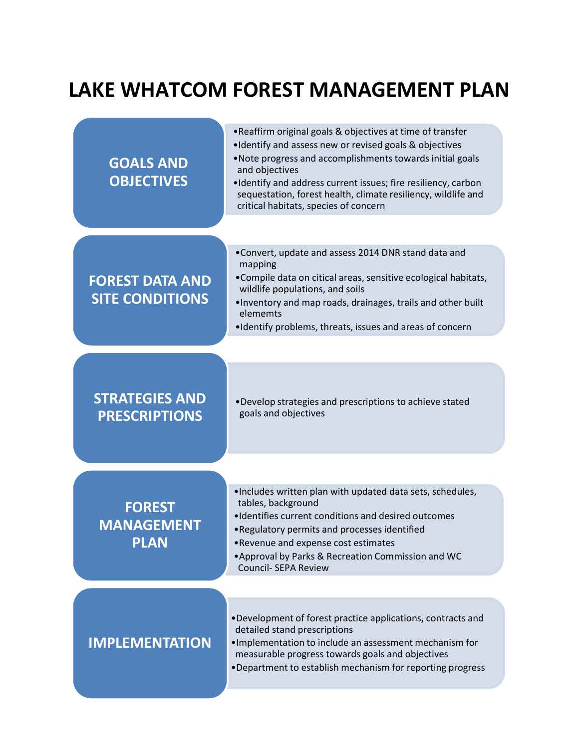## **LAKE WHATCOM FOREST MANAGEMENT PLAN**

| <b>GOALS AND</b><br><b>OBJECTIVES</b>             | . Reaffirm original goals & objectives at time of transfer<br>. Identify and assess new or revised goals & objectives<br>. Note progress and accomplishments towards initial goals<br>and objectives<br>. Identify and address current issues; fire resiliency, carbon<br>sequestation, forest health, climate resiliency, wildlife and<br>critical habitats, species of concern |
|---------------------------------------------------|----------------------------------------------------------------------------------------------------------------------------------------------------------------------------------------------------------------------------------------------------------------------------------------------------------------------------------------------------------------------------------|
| <b>FOREST DATA AND</b><br><b>SITE CONDITIONS</b>  | . Convert, update and assess 2014 DNR stand data and<br>mapping<br>•Compile data on citical areas, sensitive ecological habitats,<br>wildlife populations, and soils<br>. Inventory and map roads, drainages, trails and other built<br>elememts<br>. Identify problems, threats, issues and areas of concern                                                                    |
| <b>STRATEGIES AND</b><br><b>PRESCRIPTIONS</b>     | . Develop strategies and prescriptions to achieve stated<br>goals and objectives                                                                                                                                                                                                                                                                                                 |
| <b>FOREST</b><br><b>MANAGEMENT</b><br><b>PLAN</b> | . Includes written plan with updated data sets, schedules,<br>tables, background<br>. Identifies current conditions and desired outcomes<br>. Regulatory permits and processes identified<br>•Revenue and expense cost estimates<br>. Approval by Parks & Recreation Commission and WC<br><b>Council- SEPA Review</b>                                                            |
| <b>IMPLEMENTATION</b>                             | . Development of forest practice applications, contracts and<br>detailed stand prescriptions<br>. Implementation to include an assessment mechanism for<br>measurable progress towards goals and objectives<br>. Department to establish mechanism for reporting progress                                                                                                        |